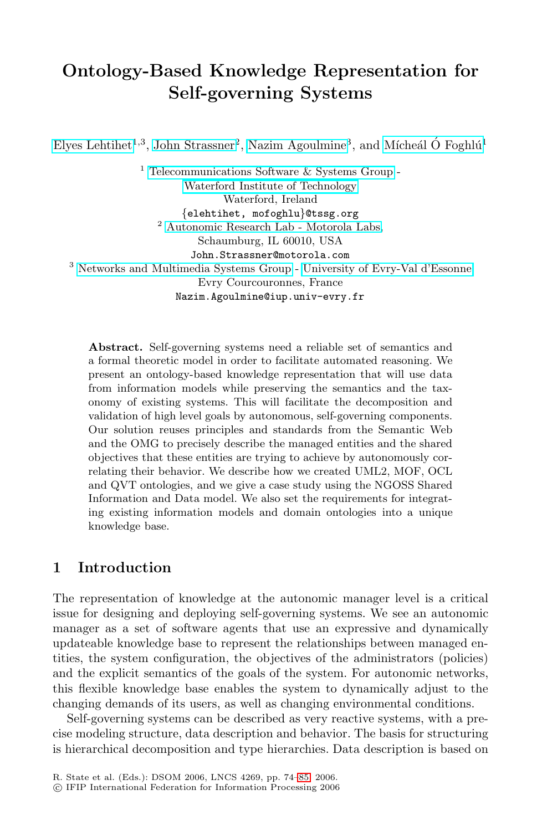# **[O](http://www.tssg.org)[ntology-Based Know](http://www.wit.ie)[ledg](http://www.tssg.org)e Representation for Self-governing Systems**

[Elyes Lehtihet](http://www3.iie.cnam.fr/~lrsm/)<sup>1,3</sup>, John Strassner<sup>2</sup>[, Nazim Agoulmine](http://www.univ-evry.fr)<sup>3</sup>, and Mícheál Ó Foghlú<sup>1</sup>

<sup>1</sup> Telecommunications Software & Systems Group - Waterford Institute of Technology Waterford, Ireland *{*elehtihet, mofoghlu*}*@tssg.org <sup>2</sup> Autonomic Research Lab - Motorola Labs, Schaumburg, IL 60010, USA John.Strassner@motorola.com <sup>3</sup> Networks and Multimedia Systems Group - University of Evry-Val d'Essonne Evry Courcouronnes, France Nazim.Agoulmine@iup.univ-evry.fr

**Abstract.** Self-governing systems need a reliable set of semantics and a formal theoretic model in order to facilitate automated reasoning. We present an ontology-based knowledge representation that will use data from information models while preserving the semantics and the taxonomy of existing systems. This will facilitate the decomposition and validation of high level goals by autonomous, self-governing components. Our solution reuses principles and standards from the Semantic Web and the OMG to precisely describe the managed entities and the shared objectives that these entities are trying to achieve by autonomously correlating their behavior. We describe how we created UML2, MOF, OCL and QVT ontologies, and we give a case study using the NGOSS Shared Information and Data model. We also set the requirements for integrating existing information models and domain ontologies into a unique knowledge base.

## **1 Introduction**

The representation of knowledge at the autonomic manager level is a critical issue for designing and deploying self-governing systems. We see an autonomic manager as a set of software agents that use an expressive and dynamically updateable knowledge base to represent the relationships between managed entities, the system configu[rat](#page-11-0)ion, the objectives of the administrators (policies) and the explicit semantics of the goals of the system. For autonomic networks, this flexible knowledge base enables the system to dynamically adjust to the changing demands of its users, as well as changing environmental conditions.

Self-governing systems can be described as very reactive systems, with a precise modeling structure, data description and behavior. The basis for structuring is hierarchical decomposition and type hierarchies. Data description is based on

R. State et al. (Eds.): DSOM 2006, LNCS 4269, pp. 74–85, 2006.

<sup>-</sup>c IFIP International Federation for Information Processing 2006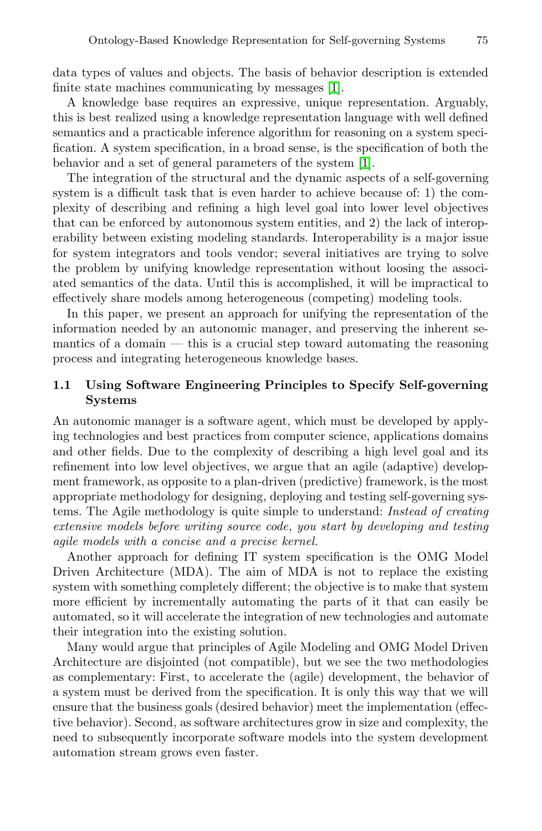data types of values and objects. The basis of behavior description is extended finite state machines communicating by messages [1].

A knowledge base requires an expressive, unique representation. Arguably, this is best realized using a knowledge representation language with well defined semantics and a practicable inference algorithm for reasoning on a system specification. A system specification, in a broad sense, is the specification of both the behavior and a set of general parameters of the system [1].

The integration of the structural and the dynamic aspects of a self-governing system is a difficult task that is even harder to achieve because of: 1) the complexity of describing and refining a high level goal into lower level objectives that can be enforced by autonomous system entities, and 2) the lack of interoperability between existing modeling standards. Interoperability is a major issue for system integrators and tools vendor; several initiatives are trying to solve the problem by unifying knowledge representation without loosing the associated semantics of the data. Until this is accomplished, it will be impractical to effectively share models among heterogeneous (competing) modeling tools.

<span id="page-1-0"></span>In this paper, we present an approach for unifying the representation of the information needed by an autonomic manager, and preserving the inherent semantics of a domain  $-$  this is a crucial step toward automating the reasoning process and integrating heterogeneous knowledge bases.

## **1.1 Using Software Engineering Principles to Specify Self-governing Systems**

An autonomic manager is a software agent, which must be developed by applying technologies and best practices from computer science, applications domains and other fields. Due to the complexity of describing a high level goal and its refinement into low level objectives, we argue that an agile (adaptive) development framework, as opposite to a plan-driven (predictive) framework, is the most appropriate methodology for designing, deploying and testing self-governing systems. The Agile methodology is quite simple to understand: *Instead of creating extensive models before writing source code, you start by developing and testing agile models with a concise and a precise kernel.*

Another approach for defining IT system specification is the OMG Model Driven Architecture (MDA). The aim of MDA is not to replace the existing system with something completely different; the objective is to make that system more efficient by incrementally automating the parts of it that can easily be automated, so it will accelerate the integration of new technologies and automate their integration into the existing solution.

Many would argue that principles of Agile Modeling and OMG Model Driven Architecture are disjointed (not compatible), but we see the two methodologies as complementary: First, to accelerate the (agile) development, the behavior of a system must be derived from the specification. It is only this way that we will ensure that the business goals (desired behavior) meet the implementation (effective behavior). Second, as software architectures grow in size and complexity, the need to subsequently incorporate software models into the system development automation stream grows even faster.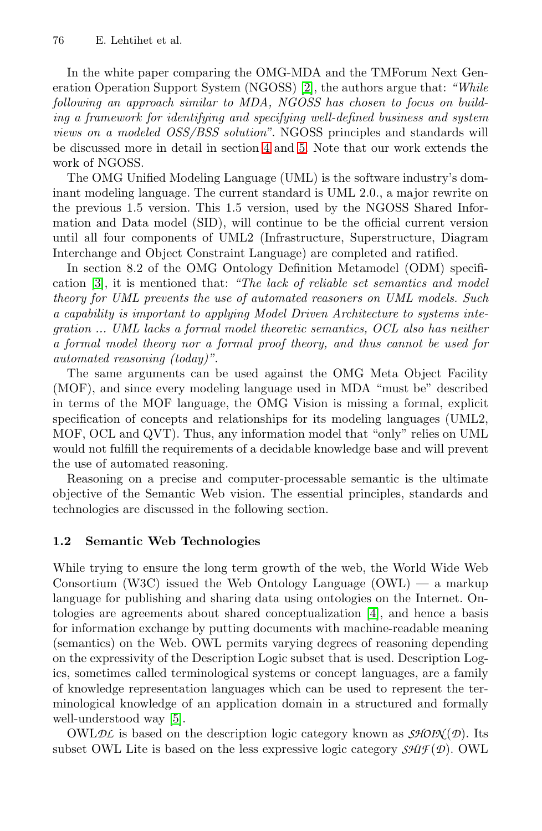In the white paper comparing the OMG-MDA and the TMForum Next Generation Operation Support System (NGOSS) [2], the authors argue that: *"While following an approach similar to MDA, NGOSS has chosen to focus on building a framework for identifying and specifying well-defined business and system views on a modeled OSS/BSS solution"*. NGOSS principles and standards will be discussed more in detail in section 4 and 5. Note that our work extends the work of NGOSS.

The OMG Unified Modeling Language (UML) is the software industry's dominant modeling language. The current standard is UML 2.0., a major rewrite on the previous 1.5 version. This 1.5 version, used by the NGOSS Shared Information and Data model (SID), will continue to be the official current version until all four components of UML2 (Infrastructure, Superstructure, Diagram Interchange and Object Constraint Language) are completed and ratified.

In section 8.2 of the OMG Ontology Definition Metamodel (ODM) specification [3], it is mentioned that: *"The lack of reliable set semantics and model theory for UML prevents the use of automated reasoners on UML models. Such a capability is important to applying Model Driven Architecture to systems integration ... UML lacks a formal model theoretic semantics, OCL also has neither a formal model theory nor a formal proof theory, and thus cannot be used for automated reasoning (today)"*.

The same arguments can be used against the OMG Meta Object Facility (MOF), and since every modeling language used in MDA "must be" described in terms of the MOF language, the OMG Vision is missing a formal, explicit specification of concepts and relationships for its modeling languages (UML2, MOF, OCL and QVT). Thus, any information model that "only" relies on UML would not fulfill the requirements of a decidable knowledge base and will prevent the use of automated reasoning.

Reasoning on a precise and computer-processable semantic is the ultimate objective of the Semantic Web vision[. T](#page-11-2)he essential principles, standards and technologies are discussed in the following section.

### **1.2 Semantic Web Technologies**

While trying to ensure the long term growth of the web, the World Wide Web Consortium (W3C) issued the Web Ontology Language  $(0WL)$  — a markup la[ngu](#page-11-3)age for publishing and sharing data using ontologies on the Internet. Ontologies are agreements about shared conceptualization [4], and hence a basis for information exchange by putting documents with machine-readable meaning (semantics) on the Web. OWL permits varying degrees of reasoning depending on the expressivity of the Description Logic subset that is used. Description Logics, sometimes called terminological systems or concept languages, are a family of knowledge representation languages which can be used to represent the terminological knowledge of an application domain in a structured and formally well-understood way [5].

OWL*DL* is based on the description logic category known as  $\mathcal{S}\hat{\mathcal{H}}\text{O}I\mathcal{N}(\mathcal{D})$ . Its subset OWL Lite is based on the less expressive logic category *SHIF* (*D*). OWL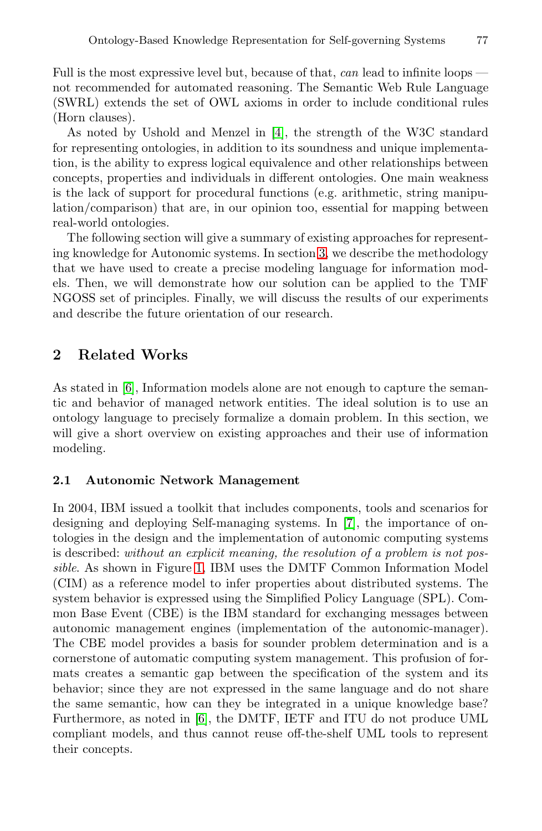Full is the most expressive level but, because of that, *can* lead to infinite loops not recommended for automated reasoning. The Semantic Web Rule Language (SWRL) extends the set of OWL axioms in order to include conditional rules (Horn clauses).

As noted by Ushold and [M](#page-6-0)enzel in [4], the strength of the W3C standard for representing ontologies, in addition to its soundness and unique implementation, is the ability to express logical equivalence and other relationships between concepts, properties and individuals in different ontologies. One main weakness is the lack of support for procedural functions (e.g. arithmetic, string manipulation/comparison) that are, in our opinion too, essential for mapping between real-world ontologies.

The following section will give a summary of existing approaches for representing knowledge for Autonomic systems. In section 3, we describe the methodology that we have used to create a precise modeling language for information models. Then, we will demonstrate how our solution can be applied to the TMF NGOSS set of principles. Finally, we will discuss the results of our experiments and describe the future orientation of our research.

## **2 Related Works**

As stated in [6], Information models alone are not enough to capture the semantic and behavior of managed net[wo](#page-11-4)rk entities. The ideal solution is to use an ontology language to precisely formalize a domain problem. In this section, we will give a short overview on existing approaches and their use of information modeli[ng](#page-4-0).

### **2.1 Autonomic Network Management**

In 2004, IBM issued a toolkit that includes components, tools and scenarios for designing and deploying Self-managing systems. In [7], the importance of ontologies in the design and the implementation of autonomic computing systems is described: *without an explicit meaning, the resolution of a problem is not possible*. As shown in Figure 1, IBM uses the DMTF Common Information Model (CIM) as a reference model to infer properties about distributed systems. The system [be](#page-11-5)havior is expressed using the Simplified Policy Language (SPL). Common Base Event (CBE) is the IBM standard for exchanging messages between autonomic management engines (implementation of the autonomic-manager). The CBE model provides a basis for sounder problem determination and is a cornerstone of automatic computing system management. This profusion of formats creates a semantic gap between the specification of the system and its behavior; since they are not expressed in the same language and do not share the same semantic, how can they be integrated in a unique knowledge base? Furthermore, as noted in [6], the DMTF, IETF and ITU do not produce UML compliant models, and thus cannot reuse off-the-shelf UML tools to represent their concepts.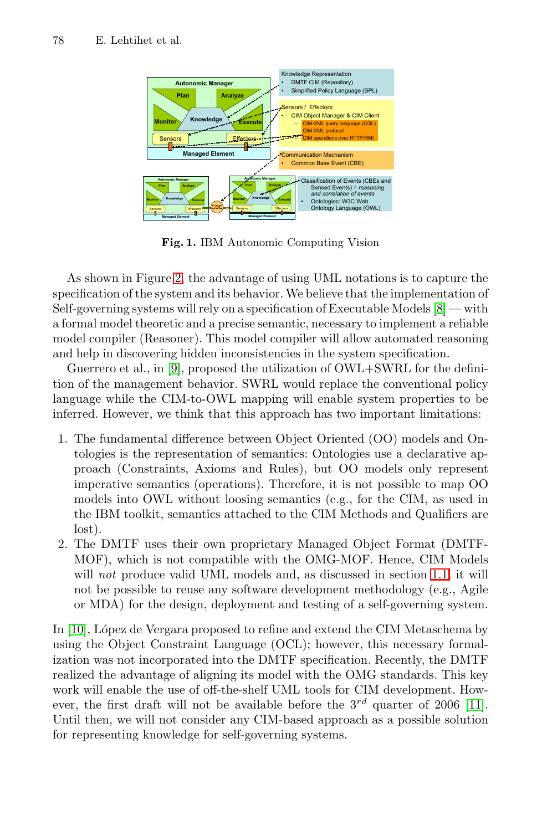<span id="page-4-0"></span>

**Fig. 1.** IBM Autonomic Computing Vision

As shown in Figure 2, the advantage of using UML notations is to capture the specification of the system and its behavior. We believe that the implementation of Self-governing systems will rely on a specification of Executable Models [8] — with a formal model theoretic and a precise semantic, necessary to implement a reliable model compiler (Reasoner). This model compiler will allow automated reasoning and help in discovering hidden inconsistencies in the system specification.

Guerrero et al., in [9], proposed the utilization of OWL+SWRL for the definition of the management behavior. SWRL would replace the conventional policy language while the CIM-to-OWL mapping will enable system properties to be inferred. However, we think that this approach has two important limitations:

- 1. The fundamental difference between Object Oriented (OO) models and Ontologies is the representation of semantics: O[ntolo](#page-1-0)gies use a declarative approach (Constraints, Axioms and Rules), but OO models only represent imperative semantics (operations). Therefore, it is not possible to map OO models into OWL without loosing semantics (e.g., for the CIM, as used in the IBM toolkit, semantics attached to the CIM Methods and Qualifiers are lost).
- 2. The DMTF uses their own proprietary Managed Object Format (DMTF-MOF), which is not compatible with the OMG-MOF. Hence, CIM Models will *not* produce valid UML models and, as discussed in section 1.1, it will not be possible to reuse any software development [meth](#page-11-7)odology (e.g., Agile or MDA) for the design, deployment and testing of a self-governing system.

In [10], López de Vergara proposed to refine and extend the CIM Metaschema by using the Object Constraint Language (OCL); however, this necessary formalization was not incorporated into the DMTF specification. Recently, the DMTF realized the advantage of aligning its model with the OMG standards. This key work will enable the use of off-the-shelf UML tools for CIM development. However, the first draft will not be available before the 3*rd* quarter of 2006 [11]. Until then, we will not consider any CIM-based approach as a possible solution for representing knowledge for self-governing systems.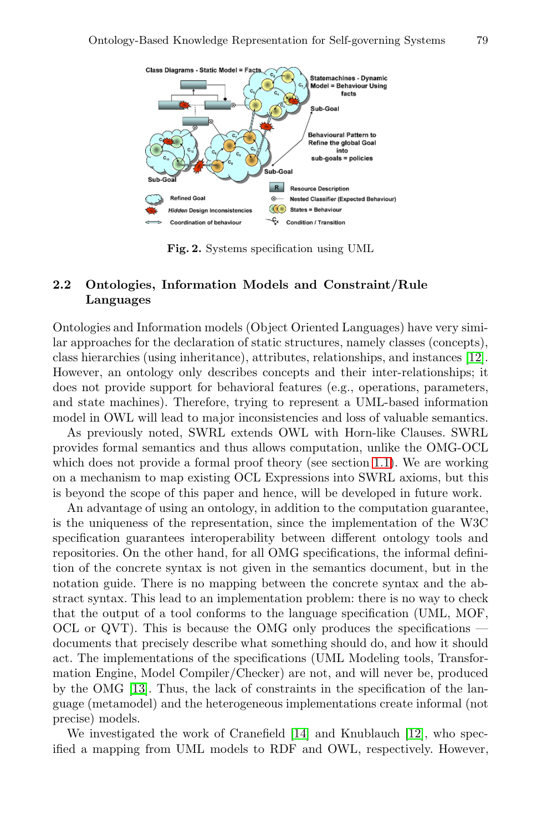

Ontology-Based Knowledge Representation for Self-governing Systems 79

**Fig. 2.** Systems specification using U[ML](#page-11-8)

## <span id="page-5-0"></span>**2.2 Ontologies, Information Models and Constraint/Rule Languages**

Ontologies and Information models (Object Oriented Languages) have very similar approaches for the declaration of sta[tic s](#page-1-0)tructures, namely classes (concepts), class hierarchies (using inheritance), attributes, relationships, and instances [12]. However, an ontology only describes concepts and their inter-relationships; it does not provide support for behavioral features (e.g., operations, parameters, and state machines). Therefore, trying to represent a UML-based information model in OWL will lead to major inconsistencies and loss of valuable semantics.

As previously noted, SWRL extends OWL with Horn-like Clauses. SWRL provides formal semantics and thus allows computation, unlike the OMG-OCL which does not provide a formal proof theory (see section 1.1). We are working on a mechanism to map existing OCL Expressions into SWRL axioms, but this is beyond the scope of this paper and hence, will be developed in future work.

An advantage of using an ontology, in addition to the computation guarantee, is the uniqueness of the representation, since the implementation of the W3C specification guarantees interoperability between different ontology tools and repositories. On the other hand, for all OMG specifications, the informal definition of the concrete syntax is not given in the semantics document, but in the notation guide. There is no mapping between the concrete syntax and the abstract syntax. This lead to an implementation problem: there is no way to check that the output of a too[l co](#page-11-9)nforms to the la[ngu](#page-11-8)age specification (UML, MOF, OCL or QVT). This is because the OMG only produces the specifications documents that precisely describe what something should do, and how it should act. The implementations of the specifications (UML Modeling tools, Transformation Engine, Model Compiler/Checker) are not, and will never be, produced by the OMG [13]. Thus, the lack of constraints in the specification of the language (metamodel) and the heterogeneous implementations create informal (not precise) models.

We investigated the work of Cranefield [14] and Knublauch [12], who specified a mapping from UML models to RDF and OWL, respectively. However,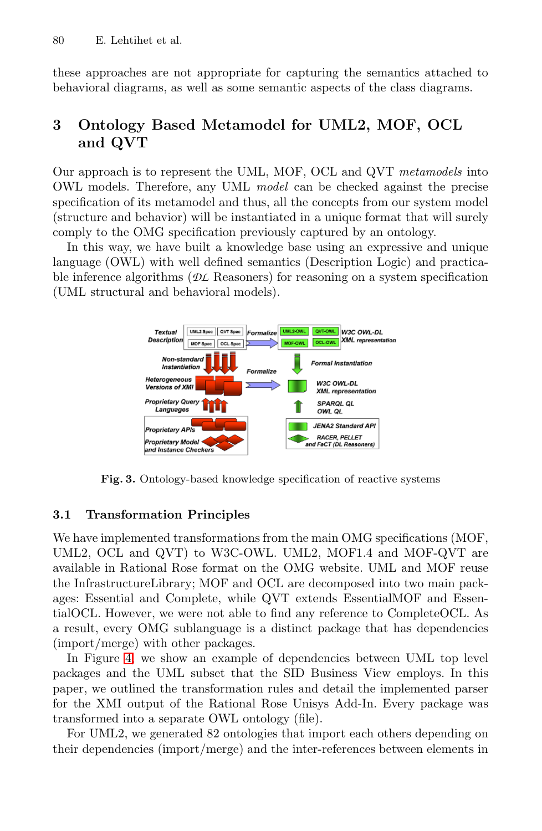<span id="page-6-0"></span>these approaches are not appropriate for capturing the semantics attached to behavioral diagrams, as well as some semantic aspects of the class diagrams.

## **3 Ontology Based Metamodel for UML2, MOF, OCL and QVT**

Our approach is to represent the UML, MOF, OCL and QVT *metamodels* into OWL models. Therefore, any UML *model* can be checked against the precise specification of its metamodel and thus, all the concepts from our system model (structure and behavior) will be instantiated in a unique format that will surely comply to the OMG specification previously captured by an ontology.

In this way, we have built a knowledge base using an expressive and unique language (OWL) with well defined semantics (Description Logic) and practicable inference algorithms (*DL* Reasoners) for reasoning on a system specification (UML structural and behavioral models).



**Fig. 3.** Ontology-based knowledge specification of reactive systems

## <span id="page-6-1"></span>**3.1 Transformation Principles**

We have implemented transformations from the main OMG specifications (MOF, UML2, OCL and QVT) to W3C-OWL. UML2, MOF1.4 and MOF-QVT are available in Rational Rose format on the OMG website. UML and MOF reuse the InfrastructureLibrary; MOF and OCL are decomposed into two main packages: Essential and Complete, while QVT extends EssentialMOF and EssentialOCL. However, we were not able to find any reference to CompleteOCL. As a result, every OMG sublanguage is a distinct package that has dependencies (import/merge) with other packages.

In Figure 4, we show an example of dependencies between UML top level packages and the UML subset that the SID Business View employs. In this paper, we outlined the transformation rules and detail the implemented parser for the XMI output of the Rational Rose Unisys Add-In. Every package was transformed into a separate OWL ontology (file).

For UML2, we generated 82 ontologies that import each others depending on their dependencies (import/merge) and the inter-references between elements in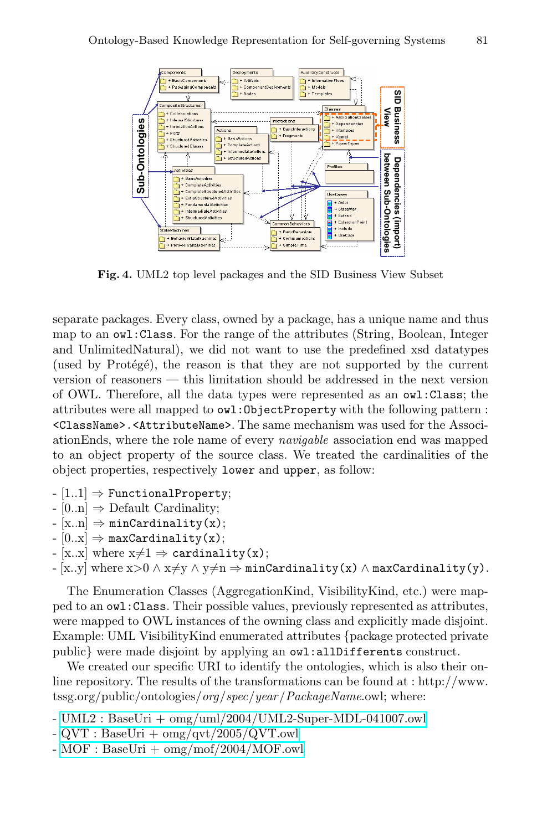

**Fig. 4.** UML2 top level packages and the SID Business View Subset

separate packages. Every class, owned by a package, has a unique name and thus map to an owl:Class. For the range of the attributes (String, Boolean, Integer and UnlimitedNatural), we did not want to use the predefined xsd datatypes (used by  $\text{Protégé}$ ), the reason is that they are not supported by the current version of reasoners — this limitation should be addressed in the next version of OWL. Therefore, all the data types were represented as an owl:Class; the attributes were all mapped to owl:ObjectProperty with the following pattern : <ClassName>.<AttributeName>. The same mechanism was used for the AssociationEnds, where the role name of every *navigable* association end was mapped to an object property of the source class. We treated the cardinalities of the object properties, respectively lower and upper, as follow:

- $-[1..1] \Rightarrow$  Functional Property;
- $-[0..n] \Rightarrow$  Default Cardinality;
- $-[x..n] \Rightarrow minCardinality(x);$
- $-[0..x] \Rightarrow$  maxCardinality(x);
- [x.x] where  $x \neq 1 \Rightarrow$  cardinality(x);
- [x.y] where x>0 ∧ x≠y ∧ y≠n  $\Rightarrow$  minCardinality(x) ∧ maxCardinality(y).

The Enumeration Classes (AggregationKind, VisibilityKind, etc.) were mapped to an owl:Class[. Their possible values, previo](http://www.tssg.org/public/ontologies/omg/uml/2004/UML2-Super-MDL-041007.owl)usly represented as attributes, [were mapped to OWL inst](http://www.tssg.org/public/ontologies/omg/qvt/2005/QVT.owl)ances of the owning class and explicitly made disjoint. [Example: UML VisibilityKi](http://www.tssg.org/public/ontologies/omg/mof/2004/MOF.owl)nd enumerated attributes {package protected private public} were made disjoint by applying an owl:allDifferents construct.

We created our specific URI to identify the ontologies, which is also their online repository. The results of the transformations can be found at : http://www. tssg.org/public/ontologies/*org*/*spec*/*year*/*PackageName*.owl; where:

- UML2 : BaseUri + omg/uml/2004/UML2-Super-MDL-041007.owl
- $-$  QVT : BaseUri + omg/qvt/2005/QVT.owl
- $-$  MOF : BaseUri  $+$  omg/mof/2004/MOF.owl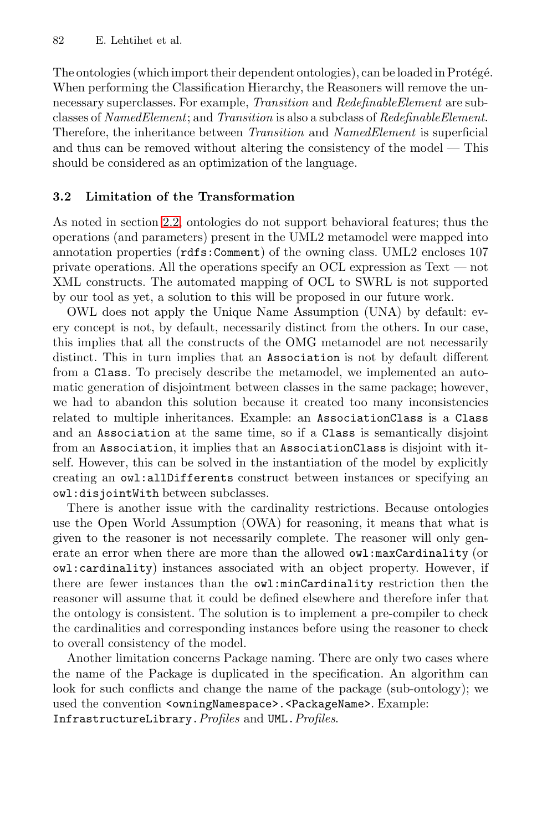The ontologies (which import their dependent ontologies), can be loaded in Protégé. When performing the Classification Hierarchy, the Reasoners will remove the un[nece](#page-5-0)ssary superclasses. For example, *Transition* and *RedefinableElement* are subclasses of *NamedElement*; and *Transition* is also a subclass of *RedefinableElement*. Therefore, the inheritance between *Transition* and *NamedElement* is superficial and thus can be removed without altering the consistency of the model  $-$  This should be considered as an optimization of the language.

### **3.2 Limitation of the Transformation**

As noted in section 2.2, ontologies do not support behavioral features; thus the operations (and parameters) present in the UML2 metamodel were mapped into annotation properties (rdfs:Comment) of the owning class. UML2 encloses 107 private operations. All the operations specify an OCL expression as Text — not XML constructs. The automated mapping of OCL to SWRL is not supported by our tool as yet, a solution to this will be proposed in our future work.

OWL does not apply the Unique Name Assumption (UNA) by default: every concept is not, by default, necessarily distinct from the others. In our case, this implies that all the constructs of the OMG metamodel are not necessarily distinct. This in turn implies that an Association is not by default different from a Class. To precisely describe the metamodel, we implemented an automatic generation of disjointment between classes in the same package; however, we had to abandon this solution because it created too many inconsistencies related to multiple inheritances. Example: an AssociationClass is a Class and an Association at the same time, so if a Class is semantically disjoint from an Association, it implies that an AssociationClass is disjoint with itself. However, this can be solved in the instantiation of the model by explicitly creating an owl:allDifferents construct between instances or specifying an owl:disjointWith between subclasses.

There is another issue with the cardinality restrictions. Because ontologies use the Open World Assumption (OWA) for reasoning, it means that what is given to the reasoner is not necessarily complete. The reasoner will only generate an error when there are more than the allowed owl:maxCardinality (or owl:cardinality) instances associated with an object property. However, if there are fewer instances than the owl:minCardinality restriction then the reasoner will assume that it could be defined elsewhere and therefore infer that the ontology is consistent. The solution is to implement a pre-compiler to check the cardinalities and corresponding instances before using the reasoner to check to overall consistency of the model.

Another limitation concerns Package naming. There are only two cases where the name of the Package is duplicated in the specification. An algorithm can look for such conflicts and change the name of the package (sub-ontology); we used the convention <owningNamespace>.<PackageName>. Example:

InfrastructureLibrary.*Profiles* and UML.*Profiles*.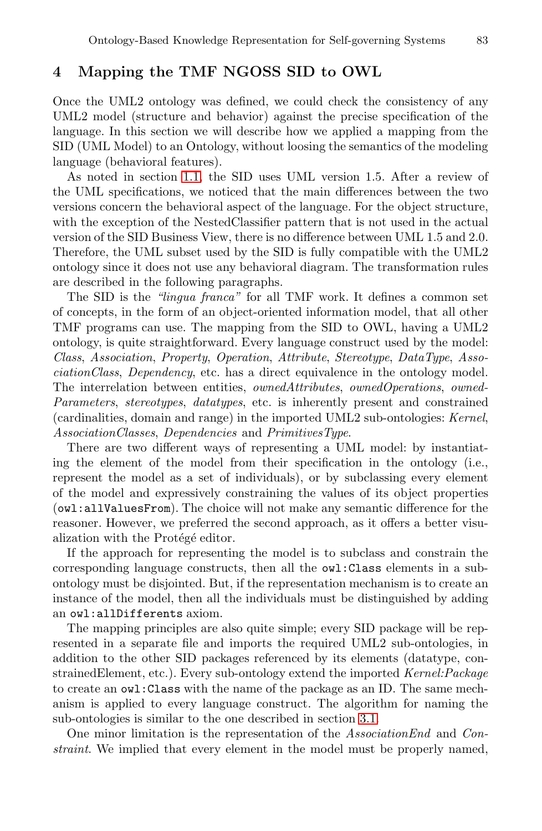## <span id="page-9-0"></span>**4 [Ma](#page-1-0)pping the TMF NGOSS SID to OWL**

Once the UML2 ontology was defined, we could check the consistency of any UML2 model (structure and behavior) against the precise specification of the language. In this section we will describe how we applied a mapping from the SID (UML Model) to an Ontology, without loosing the semantics of the modeling language (behavioral features).

As noted in section 1.1, the SID uses UML version 1.5. After a review of the UML specifications, we noticed that the main differences between the two versions concern the behavioral aspect of the language. For the object structure, with the exception of the NestedClassifier pattern that is not used in the actual version of the SID Business View, there is no difference between UML 1.5 and 2.0. Therefore, the UML subset used by the SID is fully compatible with the UML2 ontology since it does not use any behavioral diagram. The transformation rules are described in the following paragraphs.

The SID is the *"lingua franca"* for all TMF work. It defines a common set of concepts, in the form of an object-oriented information model, that all other TMF programs can use. The mapping from the SID to OWL, having a UML2 ontology, is quite straightforward. Every language construct used by the model: *Class*, *Association*, *Property*, *Operation*, *Attribute*, *Stereotype*, *DataType*, *AssociationClass*, *Dependency*, etc. has a direct equivalence in the ontology model. The interrelation between entities, *ownedAttributes*, *ownedOperations*, *owned-Parameters*, *stereotypes*, *datatypes*, etc. is inherently present and constrained (cardinalities, domain and range) in the imported UML2 sub-ontologies: *Kernel*, *AssociationClasses*, *Dependencies* and *PrimitivesType*.

There are two different ways of representing a UML model: by instantiating the element of the model from their specification in the ontology (i.e., represent the model as a set of individuals), or by subclassing every element of the model and expressively constraining the values of its object properties (owl:allValuesFrom). The choice will not make any semantic difference for the reasoner. However, we preferred the second approach, as it offers a better visualization with the Protégé editor.

If the approach for representing the model is to subclass and constrain the corresponding language constructs, then all the owl:Class elements in a subontology must be disjointed. But, if the representation mechanism is to create an instance of the model, then all the i[ndivi](#page-6-1)duals must be distinguished by adding an owl:allDifferents axiom.

The mapping principles are also quite simple; every SID package will be represented in a separate file and imports the required UML2 sub-ontologies, in addition to the other SID packages referenced by its elements (datatype, constrainedElement, etc.). Every sub-ontology extend the imported *Kernel:Package* to create an owl:Class with the name of the package as an ID. The same mechanism is applied to every language construct. The algorithm for naming the sub-ontologies is similar to the one described in section 3.1.

One minor limitation is the representation of the *AssociationEnd* and *Constraint*. We implied that every element in the model must be properly named,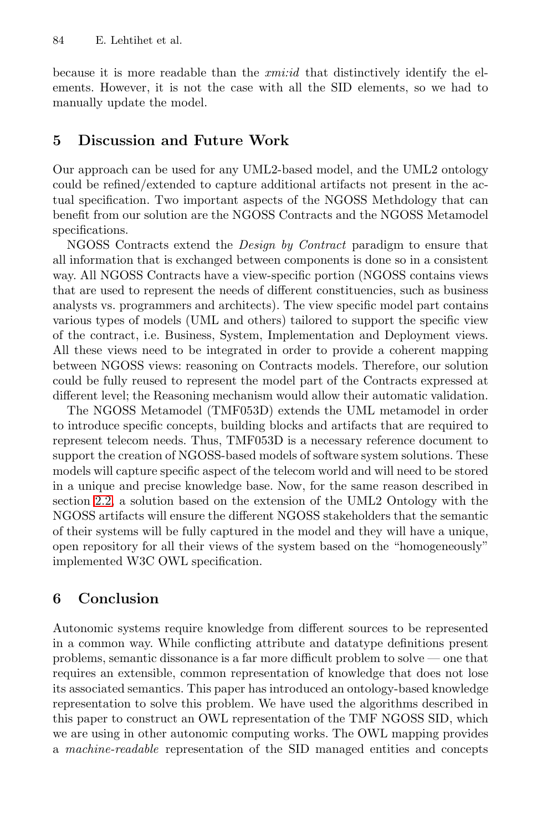because it is more readable than the *xmi:id* that distinctively identify the elements. However, it is not the case with all the SID elements, so we had to manually update the model.

## **5 Discussion and Future Work**

Our approach can be used for any UML2-based model, and the UML2 ontology could be refined/extended to capture additional artifacts not present in the actual specification. Two important aspects of the NGOSS Methdology that can benefit from our solution are the NGOSS Contracts and the NGOSS Metamodel specifications.

NGOSS Contracts extend the *Design by Contract* paradigm to ensure that all information that is exchanged between components is done so in a consistent way. All NGOSS Contracts have a view-specific portion (NGOSS contains views that are used to represent the needs of different constituencies, such as business analysts vs. programmers and architects). The view specific model part contains various types of models (UML and others) tailored to support the specific view of the contract, i.e. Business, System, Implementation and Deployment views. All these views need to be integrated in order to provide a coherent mapping between NGOSS views: reasoning on Contracts models. Therefore, our solution could be fully reused to represent the model part of the Contracts expressed at different level; the Reasoning mechanism would allow their automatic validation.

The NGOSS Metamodel (TMF053D) extends the UML metamodel in order to introduce specific concepts, building blocks and artifacts that are required to represent telecom needs. Thus, TMF053D is a necessary reference document to support the creation of NGOSS-based models of software system solutions. These models will capture specific aspect of the telecom world and will need to be stored in a unique and precise knowledge base. Now, for the same reason described in section 2.2, a solution based on the extension of the UML2 Ontology with the NGOSS artifacts will ensure the different NGOSS stakeholders that the semantic of their systems will be fully captured in the model and they will have a unique, open repository for all their views of the system based on the "homogeneously" implemented W3C OWL specification.

## **6 Conclusion**

Autonomic systems require knowledge from different sources to be represented in a common way. While conflicting attribute and datatype definitions present problems, semantic dissonance is a far more difficult problem to solve — one that requires an extensible, common representation of knowledge that does not lose its associated semantics. This paper has introduced an ontology-based knowledge representation to solve this problem. We have used the algorithms described in this paper to construct an OWL representation of the TMF NGOSS SID, which we are using in other autonomic computing works. The OWL mapping provides a *machine-readable* representation of the SID managed entities and concepts